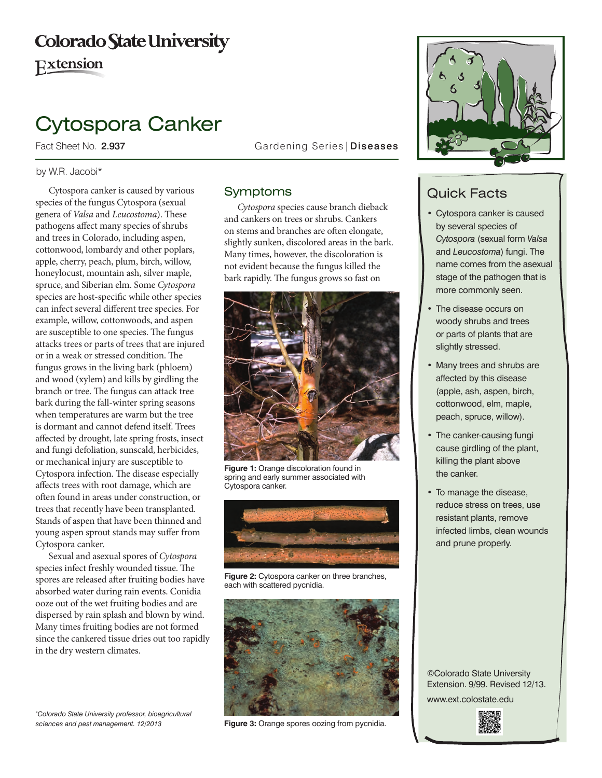# **Colorado State University**

Extension

# Cytospora Canker

#### by W.R. Jacobi\*

Cytospora canker is caused by various species of the fungus Cytospora (sexual genera of *Valsa* and *Leucostoma*). These pathogens affect many species of shrubs and trees in Colorado, including aspen, cottonwood, lombardy and other poplars, apple, cherry, peach, plum, birch, willow, honeylocust, mountain ash, silver maple, spruce, and Siberian elm. Some *Cytospora* species are host-specific while other species can infect several different tree species. For example, willow, cottonwoods, and aspen are susceptible to one species. The fungus attacks trees or parts of trees that are injured or in a weak or stressed condition. The fungus grows in the living bark (phloem) and wood (xylem) and kills by girdling the branch or tree. The fungus can attack tree bark during the fall-winter spring seasons when temperatures are warm but the tree is dormant and cannot defend itself. Trees affected by drought, late spring frosts, insect and fungi defoliation, sunscald, herbicides, or mechanical injury are susceptible to Cytospora infection. The disease especially affects trees with root damage, which are often found in areas under construction, or trees that recently have been transplanted. Stands of aspen that have been thinned and young aspen sprout stands may suffer from Cytospora canker.

Sexual and asexual spores of *Cytospora* species infect freshly wounded tissue. The spores are released after fruiting bodies have absorbed water during rain events. Conidia ooze out of the wet fruiting bodies and are dispersed by rain splash and blown by wind. Many times fruiting bodies are not formed since the cankered tissue dries out too rapidly in the dry western climates.

*\* Colorado State University professor, bioagricultural sciences and pest management. 12/2013*

Fact Sheet No. 2.937 **Fact Sheet No. 2.937** Gardening Series | Diseases

### Symptoms

*Cytospora* species cause branch dieback and cankers on trees or shrubs. Cankers on stems and branches are often elongate, slightly sunken, discolored areas in the bark. Many times, however, the discoloration is not evident because the fungus killed the bark rapidly. The fungus grows so fast on



**Figure 1:** Orange discoloration found in spring and early summer associated with Cytospora canker.



**Figure 2:** Cytospora canker on three branches, each with scattered pycnidia.



**Figure 3:** Orange spores oozing from pycnidia.



## Quick Facts

- • Cytospora canker is caused by several species of *Cytospora* (sexual form *Valsa* and *Leucostoma*) fungi. The name comes from the asexual stage of the pathogen that is more commonly seen.
- The disease occurs on woody shrubs and trees or parts of plants that are slightly stressed.
- Many trees and shrubs are affected by this disease (apple, ash, aspen, birch, cottonwood, elm, maple, peach, spruce, willow).
- The canker-causing fungi cause girdling of the plant, killing the plant above the canker.
- To manage the disease, reduce stress on trees, use resistant plants, remove infected limbs, clean wounds and prune properly.

©Colorado State University Extension. 9/99. Revised 12/13. www.ext.colostate.edu